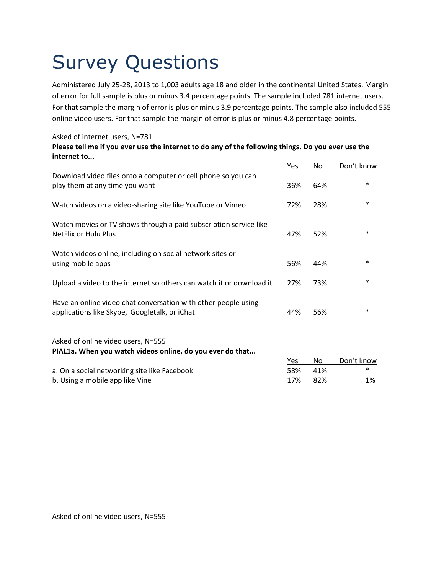# Survey Questions

Administered July 25-28, 2013 to 1,003 adults age 18 and older in the continental United States. Margin of error for full sample is plus or minus 3.4 percentage points. The sample included 781 internet users. For that sample the margin of error is plus or minus 3.9 percentage points. The sample also included 555 online video users. For that sample the margin of error is plus or minus 4.8 percentage points.

### Asked of internet users, N=781

#### **Please tell me if you ever use the internet to do any of the following things. Do you ever use the internet to...**

|                                                                                                                 | Yes | No  | Don't know |
|-----------------------------------------------------------------------------------------------------------------|-----|-----|------------|
| Download video files onto a computer or cell phone so you can<br>play them at any time you want                 | 36% | 64% | $\ast$     |
| Watch videos on a video-sharing site like YouTube or Vimeo                                                      | 72% | 28% | $\ast$     |
| Watch movies or TV shows through a paid subscription service like<br>NetFlix or Hulu Plus                       | 47% | 52% | $\ast$     |
| Watch videos online, including on social network sites or<br>using mobile apps                                  | 56% | 44% | $\ast$     |
| Upload a video to the internet so others can watch it or download it                                            | 27% | 73% | $\ast$     |
| Have an online video chat conversation with other people using<br>applications like Skype, Googletalk, or iChat | 44% | 56% | $\ast$     |
| Asked of online video users, N=555<br>PIAL1a. When you watch videos online, do you ever do that                 |     |     |            |
|                                                                                                                 | Yes | No  | Don't know |
| a. On a social networking site like Facebook                                                                    | 58% | 41% | $\ast$     |
| b. Using a mobile app like Vine                                                                                 | 17% | 82% | 1%         |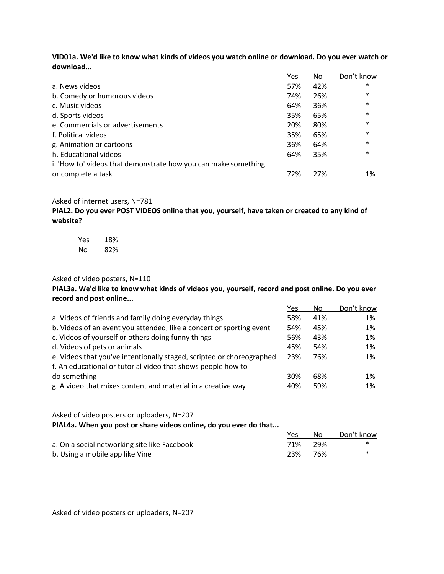**VID01a. We'd like to know what kinds of videos you watch online or download. Do you ever watch or download...**

|                                                                | Yes | No  | Don't know |
|----------------------------------------------------------------|-----|-----|------------|
| a. News videos                                                 | 57% | 42% | $\ast$     |
| b. Comedy or humorous videos                                   | 74% | 26% | $\ast$     |
| c. Music videos                                                | 64% | 36% | $\ast$     |
| d. Sports videos                                               | 35% | 65% | $\ast$     |
| e. Commercials or advertisements                               | 20% | 80% | $\ast$     |
| f. Political videos                                            | 35% | 65% | $\ast$     |
| g. Animation or cartoons                                       | 36% | 64% | $\ast$     |
| h. Educational videos                                          | 64% | 35% | $\ast$     |
| i. 'How to' videos that demonstrate how you can make something |     |     |            |
| or complete a task                                             | 72% | 27% | 1%         |

#### Asked of internet users, N=781

**PIAL2. Do you ever POST VIDEOS online that you, yourself, have taken or created to any kind of website?**

| Yes | 18% |
|-----|-----|
| Nο  | 82% |

#### Asked of video posters, N=110

**PIAL3a. We'd like to know what kinds of videos you, yourself, record and post online. Do you ever record and post online...**

|                                                                       | Yes | No. | Don't know |
|-----------------------------------------------------------------------|-----|-----|------------|
| a. Videos of friends and family doing everyday things                 | 58% | 41% | 1%         |
| b. Videos of an event you attended, like a concert or sporting event  | 54% | 45% | 1%         |
| c. Videos of yourself or others doing funny things                    | 56% | 43% | 1%         |
| d. Videos of pets or animals                                          | 45% | 54% | 1%         |
| e. Videos that you've intentionally staged, scripted or choreographed | 23% | 76% | 1%         |
| f. An educational or tutorial video that shows people how to          |     |     |            |
| do something                                                          | 30% | 68% | $1\%$      |
| g. A video that mixes content and material in a creative way          | 40% | 59% | 1%         |

#### Asked of video posters or uploaders, N=207 **PIAL4a. When you post or share videos online, do you ever do that...**

Yes No Don't know a. On a social networking site like Facebook 1992 11% 29% and  $\ast$ b. Using a mobile app like Vine 23% 76% \*

Asked of video posters or uploaders, N=207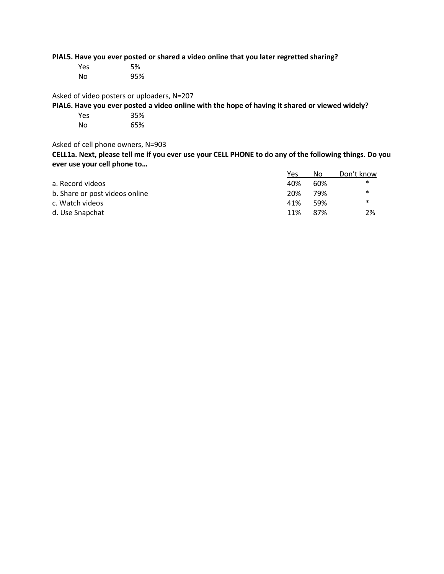**PIAL5. Have you ever posted or shared a video online that you later regretted sharing?**

| Yes | 5%  |
|-----|-----|
| No  | 95% |

Asked of video posters or uploaders, N=207

**PIAL6. Have you ever posted a video online with the hope of having it shared or viewed widely?**

| Yes | 35% |
|-----|-----|
| No  | 65% |

Asked of cell phone owners, N=903

**CELL1a. Next, please tell me if you ever use your CELL PHONE to do any of the following things. Do you ever use your cell phone to…**

|                                | Yes | No   | Don't know |
|--------------------------------|-----|------|------------|
| a. Record videos               | 40% | 60%  | ∗          |
| b. Share or post videos online | 20% | 79%  | $\ast$     |
| c. Watch videos                | 41% | .59% | ∗          |
| d. Use Snapchat                | 11% | 87%  | 2%         |